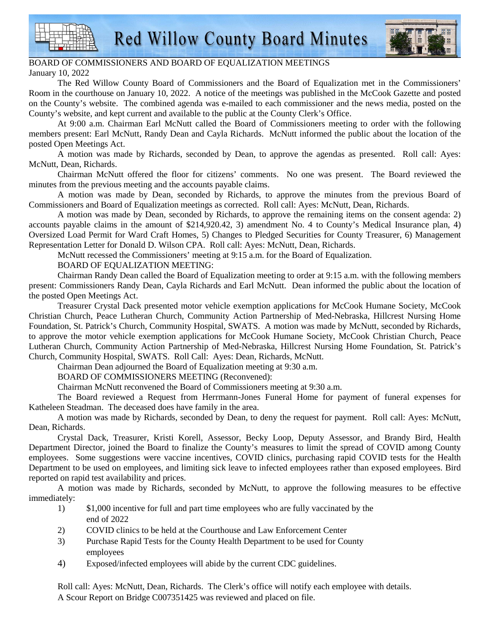



## BOARD OF COMMISSIONERS AND BOARD OF EQUALIZATION MEETINGS January 10, 2022

The Red Willow County Board of Commissioners and the Board of Equalization met in the Commissioners' Room in the courthouse on January 10, 2022. A notice of the meetings was published in the McCook Gazette and posted on the County's website. The combined agenda was e-mailed to each commissioner and the news media, posted on the County's website, and kept current and available to the public at the County Clerk's Office.

At 9:00 a.m. Chairman Earl McNutt called the Board of Commissioners meeting to order with the following members present: Earl McNutt, Randy Dean and Cayla Richards. McNutt informed the public about the location of the posted Open Meetings Act.

A motion was made by Richards, seconded by Dean, to approve the agendas as presented. Roll call: Ayes: McNutt, Dean, Richards.

Chairman McNutt offered the floor for citizens' comments. No one was present. The Board reviewed the minutes from the previous meeting and the accounts payable claims.

A motion was made by Dean, seconded by Richards, to approve the minutes from the previous Board of Commissioners and Board of Equalization meetings as corrected. Roll call: Ayes: McNutt, Dean, Richards.

A motion was made by Dean, seconded by Richards, to approve the remaining items on the consent agenda: 2) accounts payable claims in the amount of \$214,920.42, 3) amendment No. 4 to County's Medical Insurance plan, 4) Oversized Load Permit for Ward Craft Homes, 5) Changes to Pledged Securities for County Treasurer, 6) Management Representation Letter for Donald D. Wilson CPA. Roll call: Ayes: McNutt, Dean, Richards.

McNutt recessed the Commissioners' meeting at 9:15 a.m. for the Board of Equalization.

BOARD OF EQUALIZATION MEETING:

Chairman Randy Dean called the Board of Equalization meeting to order at 9:15 a.m. with the following members present: Commissioners Randy Dean, Cayla Richards and Earl McNutt. Dean informed the public about the location of the posted Open Meetings Act.

Treasurer Crystal Dack presented motor vehicle exemption applications for McCook Humane Society, McCook Christian Church, Peace Lutheran Church, Community Action Partnership of Med-Nebraska, Hillcrest Nursing Home Foundation, St. Patrick's Church, Community Hospital, SWATS. A motion was made by McNutt, seconded by Richards, to approve the motor vehicle exemption applications for McCook Humane Society, McCook Christian Church, Peace Lutheran Church, Community Action Partnership of Med-Nebraska, Hillcrest Nursing Home Foundation, St. Patrick's Church, Community Hospital, SWATS. Roll Call: Ayes: Dean, Richards, McNutt.

Chairman Dean adjourned the Board of Equalization meeting at 9:30 a.m.

BOARD OF COMMISSIONERS MEETING (Reconvened):

Chairman McNutt reconvened the Board of Commissioners meeting at 9:30 a.m.

The Board reviewed a Request from Herrmann-Jones Funeral Home for payment of funeral expenses for Katheleen Steadman. The deceased does have family in the area.

A motion was made by Richards, seconded by Dean, to deny the request for payment. Roll call: Ayes: McNutt, Dean, Richards.

Crystal Dack, Treasurer, Kristi Korell, Assessor, Becky Loop, Deputy Assessor, and Brandy Bird, Health Department Director, joined the Board to finalize the County's measures to limit the spread of COVID among County employees. Some suggestions were vaccine incentives, COVID clinics, purchasing rapid COVID tests for the Health Department to be used on employees, and limiting sick leave to infected employees rather than exposed employees. Bird reported on rapid test availability and prices.

A motion was made by Richards, seconded by McNutt, to approve the following measures to be effective immediately:

- 1) \$1,000 incentive for full and part time employees who are fully vaccinated by the end of 2022
- 2) COVID clinics to be held at the Courthouse and Law Enforcement Center
- 3) Purchase Rapid Tests for the County Health Department to be used for County employees
- 4) Exposed/infected employees will abide by the current CDC guidelines.

Roll call: Ayes: McNutt, Dean, Richards. The Clerk's office will notify each employee with details. A Scour Report on Bridge C007351425 was reviewed and placed on file.